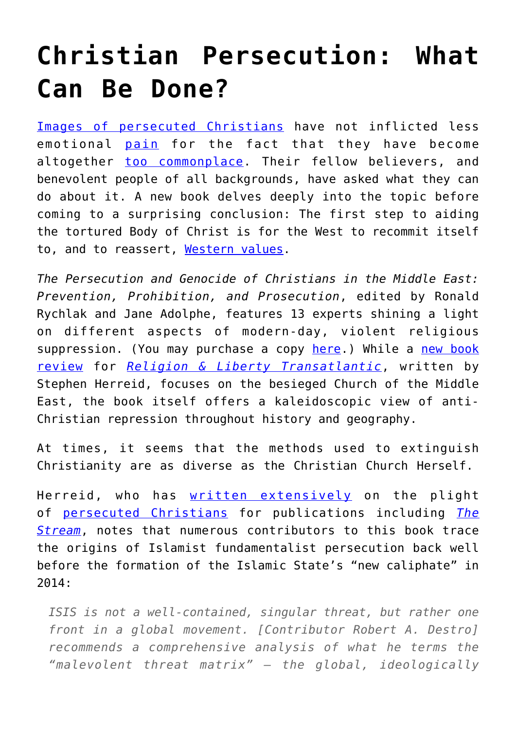## **[Christian Persecution: What](https://intellectualtakeout.org/2017/07/christian-persecution-what-can-be-done/) [Can Be Done?](https://intellectualtakeout.org/2017/07/christian-persecution-what-can-be-done/)**

[Images of persecuted Christians](http://blog.acton.org/archives/90774-after-the-cairo-bombing-the-west-must-stand-with-the-coptic-church.html) have not inflicted less emotional [pain](https://acton.org/publications/transatlantic/2017/05/26/whats-behind-manchester-attack-its-not-poverty) for the fact that they have become altogether [too commonplace](https://acton.org/publications/transatlantic/2017/07/14/spiritual-cause-and-cure-european-intifada). Their fellow believers, and benevolent people of all backgrounds, have asked what they can do about it. A new book delves deeply into the topic before coming to a surprising conclusion: The first step to aiding the tortured Body of Christ is for the West to recommit itself to, and to reassert, [Western values.](http://blog.acton.org/archives/90175-what-are-transatlantic-values.html)

*The Persecution and Genocide of Christians in the Middle East: Prevention, Prohibition, and Prosecution*, edited by Ronald Rychlak and Jane Adolphe, features 13 experts shining a light on different aspects of modern-day, violent religious suppression. (You may purchase a copy [here.](http://a-fwd.com/asin-com=162138280X&sc=w)) While a [new book](https://acton.org/publications/transatlantic/2017/07/28/book-review-persecution-and-genocide-christians-middle-east) [review](https://acton.org/publications/transatlantic/2017/07/28/book-review-persecution-and-genocide-christians-middle-east) for *[Religion & Liberty Transatlantic](https://acton.org/publications/transatlantic)*, written by Stephen Herreid, focuses on the besieged Church of the Middle East, the book itself offers a kaleidoscopic view of anti-Christian repression throughout history and geography.

At times, it seems that the methods used to extinguish Christianity are as diverse as the Christian Church Herself.

Herreid, who has [written extensively](https://www.catholicvote.org/usccb-explain-why-your-bishops-are-hurting-mid-eastern-bishops/) on the plight of [persecuted Christians](https://www.catholicvote.org/leading-assyrian-christian-now-is-the-last-chance-to-protect-us/) for publications including *[The](https://stream.org/) [Stream](https://stream.org/)*, notes that numerous contributors to this book trace the origins of Islamist fundamentalist persecution back well before the formation of the Islamic State's "new caliphate" in 2014:

*ISIS is not a well-contained, singular threat, but rather one front in a global movement. [Contributor Robert A. Destro] recommends a comprehensive analysis of what he terms the "malevolent threat matrix" — the global, ideologically*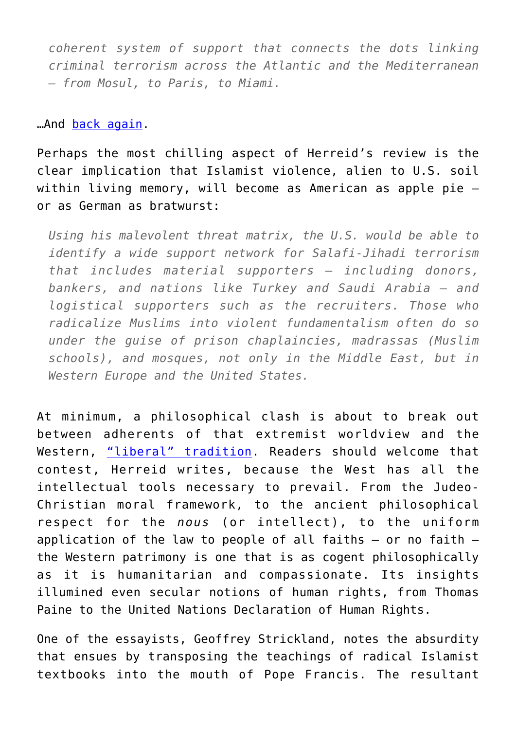*coherent system of support that connects the dots linking criminal terrorism across the Atlantic and the Mediterranean – from Mosul, to Paris, to Miami.*

## …And [back again](http://www.tampabay.com/news/courts/sami-al-arian-leaves-us-and-goes-to-turkey/2216534).

Perhaps the most chilling aspect of Herreid's review is the clear implication that Islamist violence, alien to U.S. soil within living memory, will become as American as apple pie – or as German as bratwurst:

*Using his malevolent threat matrix, the U.S. would be able to identify a wide support network for Salafi-Jihadi terrorism that includes material supporters — including donors, bankers, and nations like Turkey and Saudi Arabia — and logistical supporters such as the recruiters. Those who radicalize Muslims into violent fundamentalism often do so under the guise of prison chaplaincies, madrassas (Muslim schools), and mosques, not only in the Middle East, but in Western Europe and the United States.*

At minimum, a philosophical clash is about to break out between adherents of that extremist worldview and the Western, ["liberal" tradition](https://acton.org/publications/transatlantic/2017/07/27/populism-now-more-popular-liberty-european-voters). Readers should welcome that contest, Herreid writes, because the West has all the intellectual tools necessary to prevail. From the Judeo-Christian moral framework, to the ancient philosophical respect for the *nous* (or intellect), to the uniform application of the law to people of all faiths  $-$  or no faith  $$ the Western patrimony is one that is as cogent philosophically as it is humanitarian and compassionate. Its insights illumined even secular notions of human rights, from Thomas Paine to the United Nations Declaration of Human Rights.

One of the essayists, Geoffrey Strickland, notes the absurdity that ensues by transposing the teachings of radical Islamist textbooks into the mouth of Pope Francis. The resultant